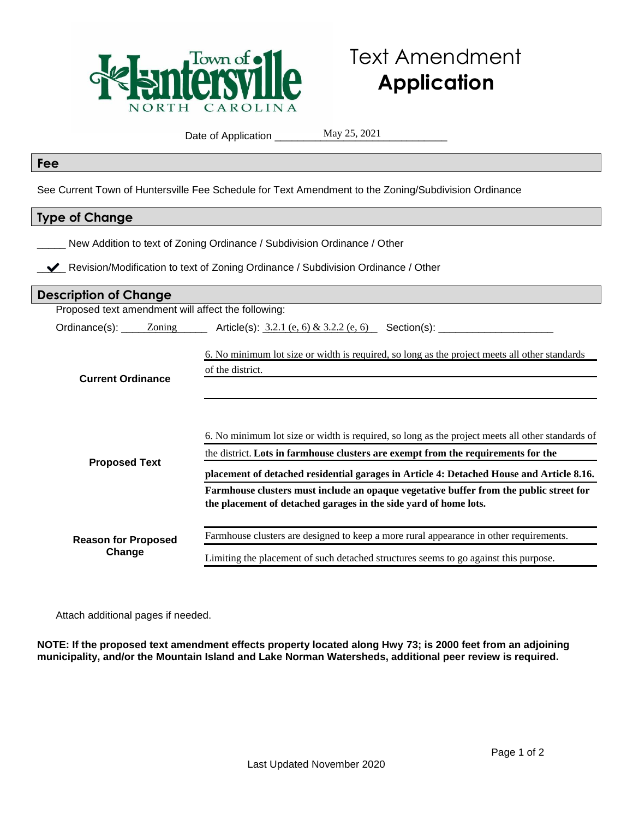

## Text Amendment **Application**

Date of Application \_\_\_\_\_

May 25, 2021

## **Fee**

See Current Town of Huntersville Fee Schedule for Text Amendment to the Zoning/Subdivision Ordinance

## **Type of Change**

\_\_\_\_\_ New Addition to text of Zoning Ordinance / Subdivision Ordinance / Other

**V** Revision/Modification to text of Zoning Ordinance / Subdivision Ordinance / Other

| <b>Description of Change</b>                       |                                                                                                                                                                                                                                                                                   |
|----------------------------------------------------|-----------------------------------------------------------------------------------------------------------------------------------------------------------------------------------------------------------------------------------------------------------------------------------|
| Proposed text amendment will affect the following: |                                                                                                                                                                                                                                                                                   |
|                                                    | Ordinance(s): $\_$ Zoning $\_$ Article(s): 3.2.1 (e, 6) & 3.2.2 (e, 6) Section(s): $\_$                                                                                                                                                                                           |
| <b>Current Ordinance</b>                           | 6. No minimum lot size or width is required, so long as the project meets all other standards<br>of the district.                                                                                                                                                                 |
| <b>Proposed Text</b>                               | 6. No minimum lot size or width is required, so long as the project meets all other standards of<br>the district. Lots in farmhouse clusters are exempt from the requirements for the<br>placement of detached residential garages in Article 4: Detached House and Article 8.16. |
|                                                    | Farmhouse clusters must include an opaque vegetative buffer from the public street for<br>the placement of detached garages in the side yard of home lots.                                                                                                                        |
| <b>Reason for Proposed</b><br>Change               | Farmhouse clusters are designed to keep a more rural appearance in other requirements.                                                                                                                                                                                            |
|                                                    | Limiting the placement of such detached structures seems to go against this purpose.                                                                                                                                                                                              |

Attach additional pages if needed.

**NOTE: If the proposed text amendment effects property located along Hwy 73; is 2000 feet from an adjoining municipality, and/or the Mountain Island and Lake Norman Watersheds, additional peer review is required.**